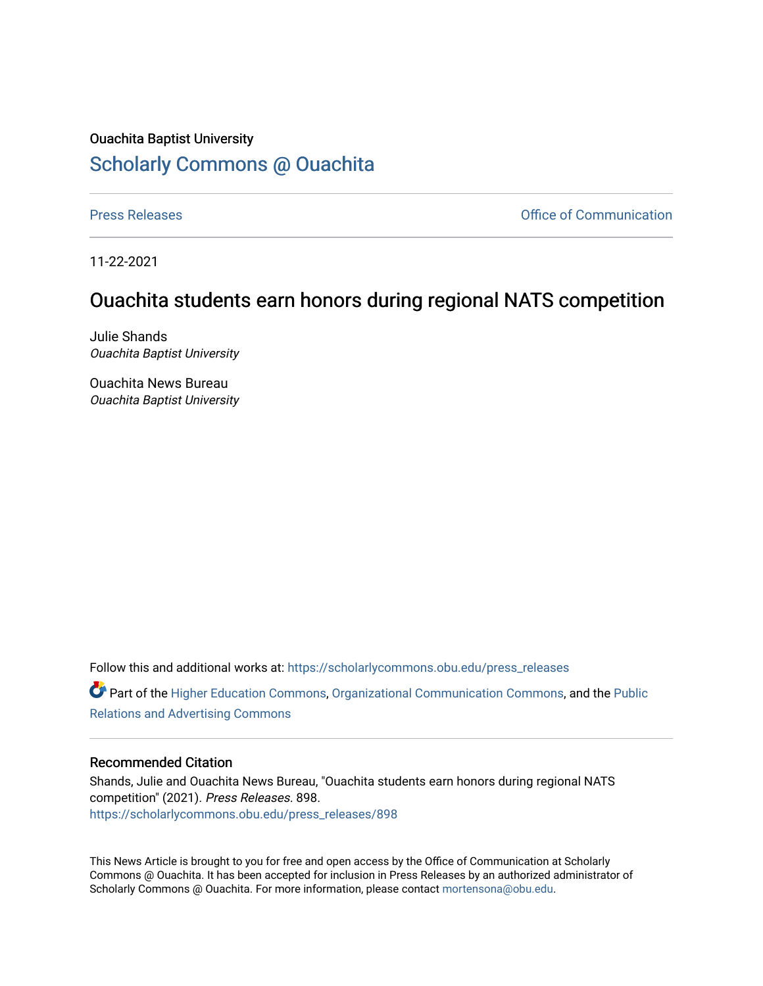## Ouachita Baptist University [Scholarly Commons @ Ouachita](https://scholarlycommons.obu.edu/)

[Press Releases](https://scholarlycommons.obu.edu/press_releases) **Press Releases Communication** 

11-22-2021

## Ouachita students earn honors during regional NATS competition

Julie Shands Ouachita Baptist University

Ouachita News Bureau Ouachita Baptist University

Follow this and additional works at: [https://scholarlycommons.obu.edu/press\\_releases](https://scholarlycommons.obu.edu/press_releases?utm_source=scholarlycommons.obu.edu%2Fpress_releases%2F898&utm_medium=PDF&utm_campaign=PDFCoverPages)

Part of the [Higher Education Commons,](http://network.bepress.com/hgg/discipline/1245?utm_source=scholarlycommons.obu.edu%2Fpress_releases%2F898&utm_medium=PDF&utm_campaign=PDFCoverPages) [Organizational Communication Commons,](http://network.bepress.com/hgg/discipline/335?utm_source=scholarlycommons.obu.edu%2Fpress_releases%2F898&utm_medium=PDF&utm_campaign=PDFCoverPages) and the [Public](http://network.bepress.com/hgg/discipline/336?utm_source=scholarlycommons.obu.edu%2Fpress_releases%2F898&utm_medium=PDF&utm_campaign=PDFCoverPages) [Relations and Advertising Commons](http://network.bepress.com/hgg/discipline/336?utm_source=scholarlycommons.obu.edu%2Fpress_releases%2F898&utm_medium=PDF&utm_campaign=PDFCoverPages) 

## Recommended Citation

Shands, Julie and Ouachita News Bureau, "Ouachita students earn honors during regional NATS competition" (2021). Press Releases. 898. [https://scholarlycommons.obu.edu/press\\_releases/898](https://scholarlycommons.obu.edu/press_releases/898?utm_source=scholarlycommons.obu.edu%2Fpress_releases%2F898&utm_medium=PDF&utm_campaign=PDFCoverPages)

This News Article is brought to you for free and open access by the Office of Communication at Scholarly Commons @ Ouachita. It has been accepted for inclusion in Press Releases by an authorized administrator of Scholarly Commons @ Ouachita. For more information, please contact [mortensona@obu.edu](mailto:mortensona@obu.edu).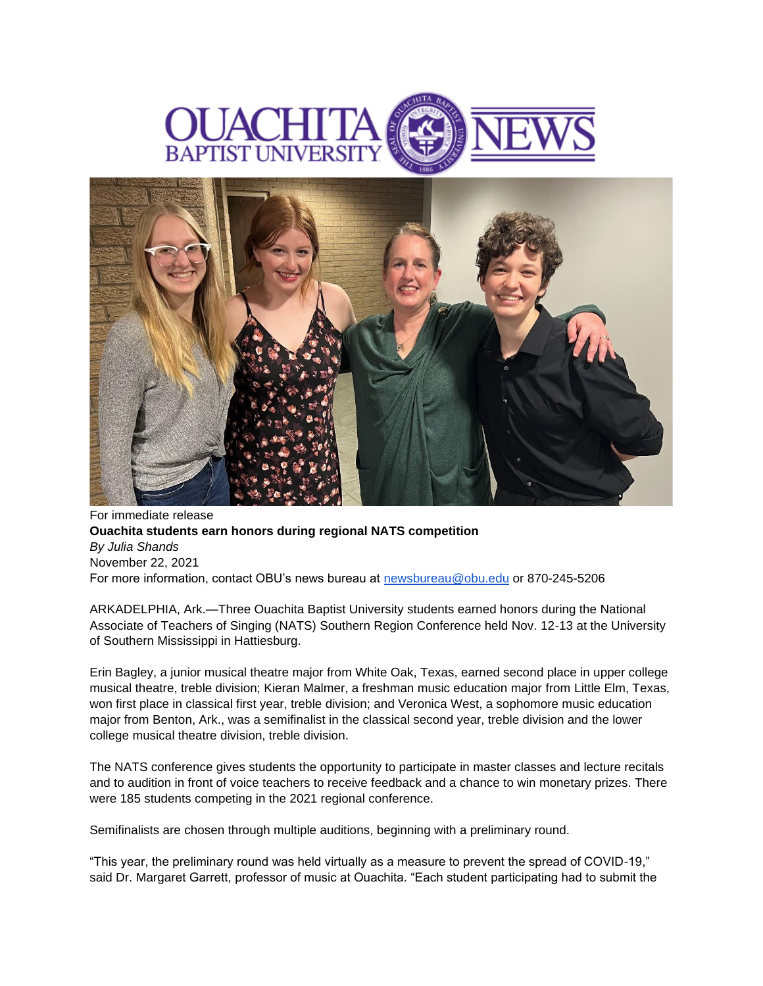



For immediate release **Ouachita students earn honors during regional NATS competition** *By Julia Shands* November 22, 2021 For more information, contact OBU's news bureau at [newsbureau@obu.edu](mailto:newsbureau@obu.edu) or 870-245-5206

ARKADELPHIA, Ark.—Three Ouachita Baptist University students earned honors during the National Associate of Teachers of Singing (NATS) Southern Region Conference held Nov. 12-13 at the University of Southern Mississippi in Hattiesburg.

Erin Bagley, a junior musical theatre major from White Oak, Texas, earned second place in upper college musical theatre, treble division; Kieran Malmer, a freshman music education major from Little Elm, Texas, won first place in classical first year, treble division; and Veronica West, a sophomore music education major from Benton, Ark., was a semifinalist in the classical second year, treble division and the lower college musical theatre division, treble division.

The NATS conference gives students the opportunity to participate in master classes and lecture recitals and to audition in front of voice teachers to receive feedback and a chance to win monetary prizes. There were 185 students competing in the 2021 regional conference.

Semifinalists are chosen through multiple auditions, beginning with a preliminary round.

"This year, the preliminary round was held virtually as a measure to prevent the spread of COVID-19," said Dr. Margaret Garrett, professor of music at Ouachita. "Each student participating had to submit the